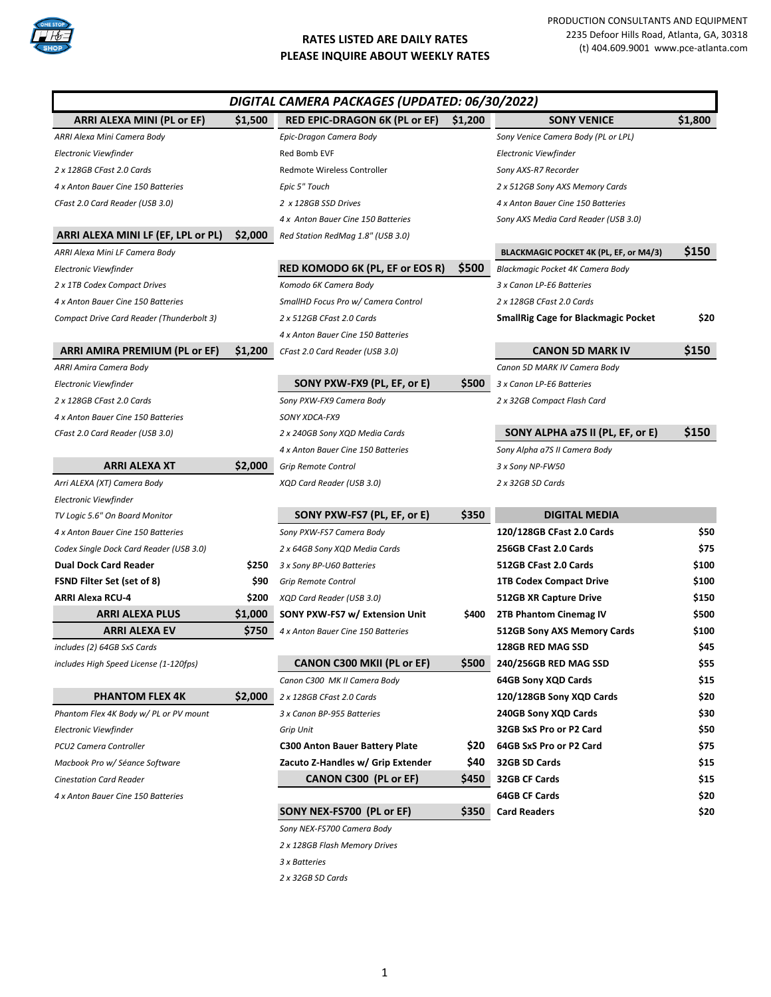

PRODUCTION CONSULTANTS AND EQUIPMENT 2235 Defoor Hills Road, Atlanta, GA, 30318 (t) 404.609.9001 www.pce-atlanta.com

|                                           |         | DIGITAL CAMERA PACKAGES (UPDATED: 06/30/2022) |            |                                            |         |
|-------------------------------------------|---------|-----------------------------------------------|------------|--------------------------------------------|---------|
| ARRI ALEXA MINI (PL or EF)                | \$1,500 | <b>RED EPIC-DRAGON 6K (PL or EF)</b>          | \$1,200    | <b>SONY VENICE</b>                         | \$1,800 |
| ARRI Alexa Mini Camera Body               |         | Epic-Dragon Camera Body                       |            | Sony Venice Camera Body (PL or LPL)        |         |
| Electronic Viewfinder                     |         | Red Bomb EVF                                  |            | Electronic Viewfinder                      |         |
| 2 x 128GB CFast 2.0 Cards                 |         | Redmote Wireless Controller                   |            | Sony AXS-R7 Recorder                       |         |
| 4 x Anton Bauer Cine 150 Batteries        |         | Epic 5" Touch                                 |            | 2 x 512GB Sony AXS Memory Cards            |         |
| CFast 2.0 Card Reader (USB 3.0)           |         | 2 x 128GB SSD Drives                          |            | 4 x Anton Bauer Cine 150 Batteries         |         |
|                                           |         | 4 x Anton Bauer Cine 150 Batteries            |            | Sony AXS Media Card Reader (USB 3.0)       |         |
| ARRI ALEXA MINI LF (EF, LPL or PL)        | \$2,000 | Red Station RedMag 1.8" (USB 3.0)             |            |                                            |         |
| ARRI Alexa Mini LF Camera Body            |         |                                               |            | BLACKMAGIC POCKET 4K (PL, EF, or M4/3)     | \$150   |
| Electronic Viewfinder                     |         | RED KOMODO 6K (PL, EF or EOS R)               | \$500      | Blackmagic Pocket 4K Camera Body           |         |
| 2 x 1TB Codex Compact Drives              |         | Komodo 6K Camera Body                         |            | 3 x Canon LP-E6 Batteries                  |         |
| 4 x Anton Bauer Cine 150 Batteries        |         | SmallHD Focus Pro w/ Camera Control           |            | 2 x 128GB CFast 2.0 Cards                  |         |
| Compact Drive Card Reader (Thunderbolt 3) |         | 2 x 512GB CFast 2.0 Cards                     |            | <b>SmallRig Cage for Blackmagic Pocket</b> | \$20    |
|                                           |         | 4 x Anton Bauer Cine 150 Batteries            |            |                                            |         |
| <b>ARRI AMIRA PREMIUM (PL or EF)</b>      | \$1,200 | CFast 2.0 Card Reader (USB 3.0)               |            | <b>CANON 5D MARK IV</b>                    | \$150   |
| ARRI Amira Camera Body                    |         |                                               |            | Canon 5D MARK IV Camera Body               |         |
| Electronic Viewfinder                     |         | SONY PXW-FX9 (PL, EF, or E)                   | \$500      | 3 x Canon LP-E6 Batteries                  |         |
| 2 x 128GB CFast 2.0 Cards                 |         | Sony PXW-FX9 Camera Body                      |            | 2 x 32GB Compact Flash Card                |         |
| 4 x Anton Bauer Cine 150 Batteries        |         | SONY XDCA-FX9                                 |            |                                            |         |
| CFast 2.0 Card Reader (USB 3.0)           |         | 2 x 240GB Sony XQD Media Cards                |            | SONY ALPHA a7S II (PL, EF, or E)           | \$150   |
|                                           |         | 4 x Anton Bauer Cine 150 Batteries            |            | Sony Alpha a7S II Camera Body              |         |
| <b>ARRI ALEXA XT</b>                      | \$2,000 | Grip Remote Control                           |            | 3 x Sony NP-FW50                           |         |
| Arri ALEXA (XT) Camera Body               |         | XQD Card Reader (USB 3.0)                     |            | 2 x 32GB SD Cards                          |         |
| Electronic Viewfinder                     |         |                                               |            |                                            |         |
| TV Logic 5.6" On Board Monitor            |         | SONY PXW-FS7 (PL, EF, or E)                   | \$350      | <b>DIGITAL MEDIA</b>                       |         |
| 4 x Anton Bauer Cine 150 Batteries        |         | Sony PXW-FS7 Camera Body                      |            | 120/128GB CFast 2.0 Cards                  | \$50    |
| Codex Single Dock Card Reader (USB 3.0)   |         | 2 x 64GB Sony XQD Media Cards                 |            | 256GB CFast 2.0 Cards                      | \$75    |
| <b>Dual Dock Card Reader</b>              | \$250   | 3 x Sony BP-U60 Batteries                     |            | 512GB CFast 2.0 Cards                      | \$100   |
| <b>FSND Filter Set (set of 8)</b>         | \$90    | <b>Grip Remote Control</b>                    |            | <b>1TB Codex Compact Drive</b>             | \$100   |
| <b>ARRI Alexa RCU-4</b>                   | \$200   | XQD Card Reader (USB 3.0)                     |            | <b>512GB XR Capture Drive</b>              | \$150   |
| <b>ARRI ALEXA PLUS</b>                    | \$1,000 | SONY PXW-FS7 w/ Extension Unit                | \$400      | 2TB Phantom Cinemag IV                     | \$500   |
| <b>ARRI ALEXA EV</b>                      | \$750   | 4 x Anton Bauer Cine 150 Batteries            |            | 512GB Sony AXS Memory Cards                | \$100   |
| includes (2) 64GB SxS Cards               |         |                                               |            | 128GB RED MAG SSD                          | \$45    |
| includes High Speed License (1-120fps)    |         | <b>CANON C300 MKII (PL or EF)</b>             | \$500      | 240/256GB RED MAG SSD                      | \$55    |
|                                           |         | Canon C300 MK II Camera Body                  |            | 64GB Sony XQD Cards                        | \$15    |
| <b>PHANTOM FLEX 4K</b>                    | \$2,000 | 2 x 128GB CFast 2.0 Cards                     |            | 120/128GB Sony XQD Cards                   | \$20    |
| Phantom Flex 4K Body w/ PL or PV mount    |         | 3 x Canon BP-955 Batteries                    |            | 240GB Sony XQD Cards                       | \$30    |
| Electronic Viewfinder                     |         | Grip Unit                                     |            | 32GB SxS Pro or P2 Card                    | \$50    |
| PCU2 Camera Controller                    |         | <b>C300 Anton Bauer Battery Plate</b>         | <b>S20</b> | 64GB SxS Pro or P2 Card                    | \$75    |
| Macbook Pro w/ Séance Software            |         | Zacuto Z-Handles w/ Grip Extender             | \$40       | 32GB SD Cards                              | \$15    |
| <b>Cinestation Card Reader</b>            |         | CANON C300 (PL or EF)                         | \$450      | <b>32GB CF Cards</b>                       | \$15    |
| 4 x Anton Bauer Cine 150 Batteries        |         |                                               |            | <b>64GB CF Cards</b>                       | \$20    |
|                                           |         | SONY NEX-FS700 (PL or EF)                     | \$350      | <b>Card Readers</b>                        | \$20    |
|                                           |         | Sony NEX-FS700 Camera Body                    |            |                                            |         |
|                                           |         | 2 x 128GB Flash Memory Drives                 |            |                                            |         |
|                                           |         | 3 x Batteries                                 |            |                                            |         |
|                                           |         | 2 x 32GB SD Cards                             |            |                                            |         |
|                                           |         |                                               |            |                                            |         |
|                                           |         |                                               |            |                                            |         |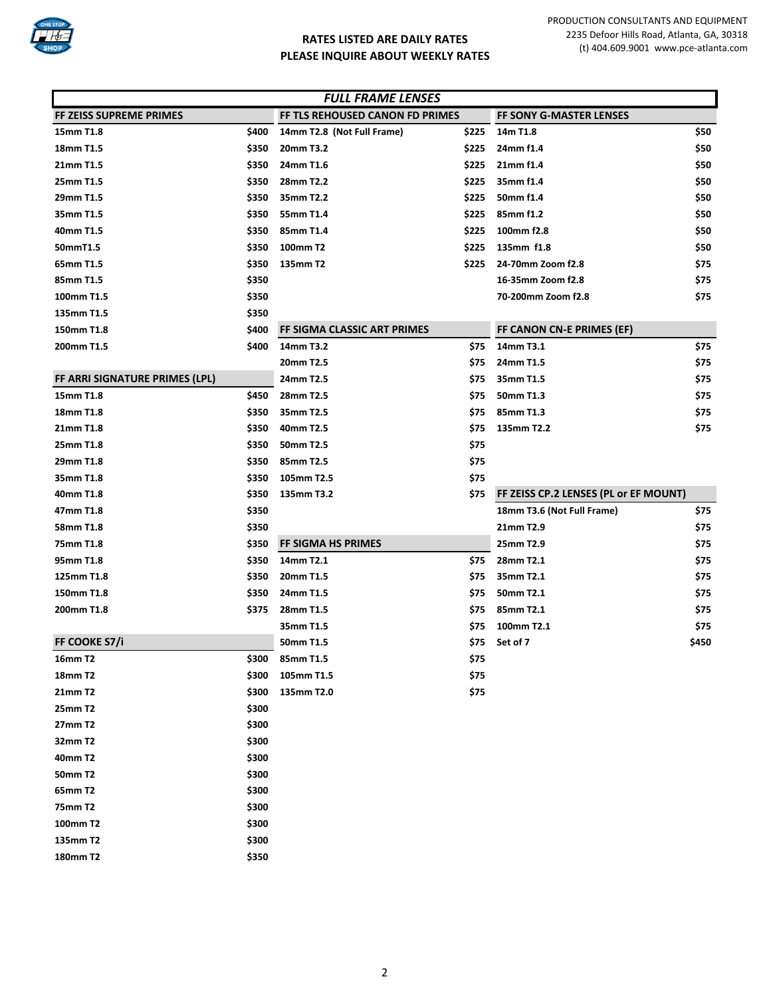

| <b>FULL FRAME LENSES</b>       |       |                                 |       |                                       |       |  |
|--------------------------------|-------|---------------------------------|-------|---------------------------------------|-------|--|
| FF ZEISS SUPREME PRIMES        |       | FF TLS REHOUSED CANON FD PRIMES |       | <b>FF SONY G-MASTER LENSES</b>        |       |  |
| 15mm T1.8                      | \$400 | 14mm T2.8 (Not Full Frame)      | \$225 | 14m T1.8                              | \$50  |  |
| 18mm T1.5                      | \$350 | 20mm T3.2                       | \$225 | 24mm f1.4                             | \$50  |  |
| 21mm T1.5                      | \$350 | 24mm T1.6                       | \$225 | 21mm f1.4                             | \$50  |  |
| 25mm T1.5                      | \$350 | 28mm T2.2                       | \$225 | 35mm f1.4                             | \$50  |  |
| 29mm T1.5                      | \$350 | 35mm T2.2                       | \$225 | 50mm f1.4                             | \$50  |  |
| 35mm T1.5                      | \$350 | 55mm T1.4                       | \$225 | 85mm f1.2                             | \$50  |  |
| 40mm T1.5                      | \$350 | 85mm T1.4                       | \$225 | 100mm f2.8                            | \$50  |  |
| 50mmT1.5                       | \$350 | 100mm T2                        | \$225 | 135mm f1.8                            | \$50  |  |
| 65mm T1.5                      | \$350 | 135mm T2                        | \$225 | 24-70mm Zoom f2.8                     | \$75  |  |
| 85mm T1.5                      | \$350 |                                 |       | 16-35mm Zoom f2.8                     | \$75  |  |
| 100mm T1.5                     | \$350 |                                 |       | 70-200mm Zoom f2.8                    | \$75  |  |
| 135mm T1.5                     | \$350 |                                 |       |                                       |       |  |
| 150mm T1.8                     | \$400 | FF SIGMA CLASSIC ART PRIMES     |       | FF CANON CN-E PRIMES (EF)             |       |  |
| 200mm T1.5                     | \$400 | 14mm T3.2                       | \$75  | 14mm T3.1                             | \$75  |  |
|                                |       | 20mm T2.5                       | \$75  | 24mm T1.5                             | \$75  |  |
| FF ARRI SIGNATURE PRIMES (LPL) |       | 24mm T2.5                       | \$75  | 35mm T1.5                             | \$75  |  |
| 15mm T1.8                      | \$450 | 28mm T2.5                       | \$75  | 50mm T1.3                             | \$75  |  |
| 18mm T1.8                      | \$350 | 35mm T2.5                       | \$75  | 85mm T1.3                             | \$75  |  |
| 21mm T1.8                      | \$350 | 40mm T2.5                       | \$75  | 135mm T2.2                            | \$75  |  |
| 25mm T1.8                      | \$350 | 50mm T2.5                       | \$75  |                                       |       |  |
| 29mm T1.8                      | \$350 | 85mm T2.5                       | \$75  |                                       |       |  |
| 35mm T1.8                      | \$350 | 105mm T2.5                      | \$75  |                                       |       |  |
| 40mm T1.8                      | \$350 | 135mm T3.2                      | \$75  | FF ZEISS CP.2 LENSES (PL or EF MOUNT) |       |  |
| 47mm T1.8                      | \$350 |                                 |       | 18mm T3.6 (Not Full Frame)            | \$75  |  |
| 58mm T1.8                      | \$350 |                                 |       | 21mm T2.9                             | \$75  |  |
| 75mm T1.8                      | \$350 | FF SIGMA HS PRIMES              |       | 25mm T2.9                             | \$75  |  |
| 95mm T1.8                      | \$350 | 14mm T2.1                       | \$75  | 28mm T2.1                             | \$75  |  |
| 125mm T1.8                     | \$350 | 20mm T1.5                       | \$75  | 35mm T2.1                             | \$75  |  |
| 150mm T1.8                     | \$350 | 24mm T1.5                       | \$75  | 50mm T2.1                             | \$75  |  |
| 200mm T1.8                     | \$375 | 28mm T1.5                       | \$75  | 85mm T2.1                             | \$75  |  |
|                                |       | 35mm T1.5                       | \$75  | 100mm T2.1                            | \$75  |  |
| FF COOKE S7/i                  |       | 50mm T1.5                       | \$75  | Set of 7                              | \$450 |  |
| <b>16mm T2</b>                 | \$300 | 85mm T1.5                       | \$75  |                                       |       |  |
| <b>18mm T2</b>                 | \$300 | 105mm T1.5                      | \$75  |                                       |       |  |
| 21mm T2                        | \$300 | 135mm T2.0                      | \$75  |                                       |       |  |
| <b>25mm T2</b>                 | \$300 |                                 |       |                                       |       |  |
| 27mm T2                        | \$300 |                                 |       |                                       |       |  |
| 32mm T2                        | \$300 |                                 |       |                                       |       |  |
| 40mm T2                        | \$300 |                                 |       |                                       |       |  |
| <b>50mm T2</b>                 | \$300 |                                 |       |                                       |       |  |
| 65mm T2                        | \$300 |                                 |       |                                       |       |  |
| <b>75mm T2</b>                 | \$300 |                                 |       |                                       |       |  |
| 100mm T2                       | \$300 |                                 |       |                                       |       |  |
| 135mm T2                       | \$300 |                                 |       |                                       |       |  |
| 180mm T2                       | \$350 |                                 |       |                                       |       |  |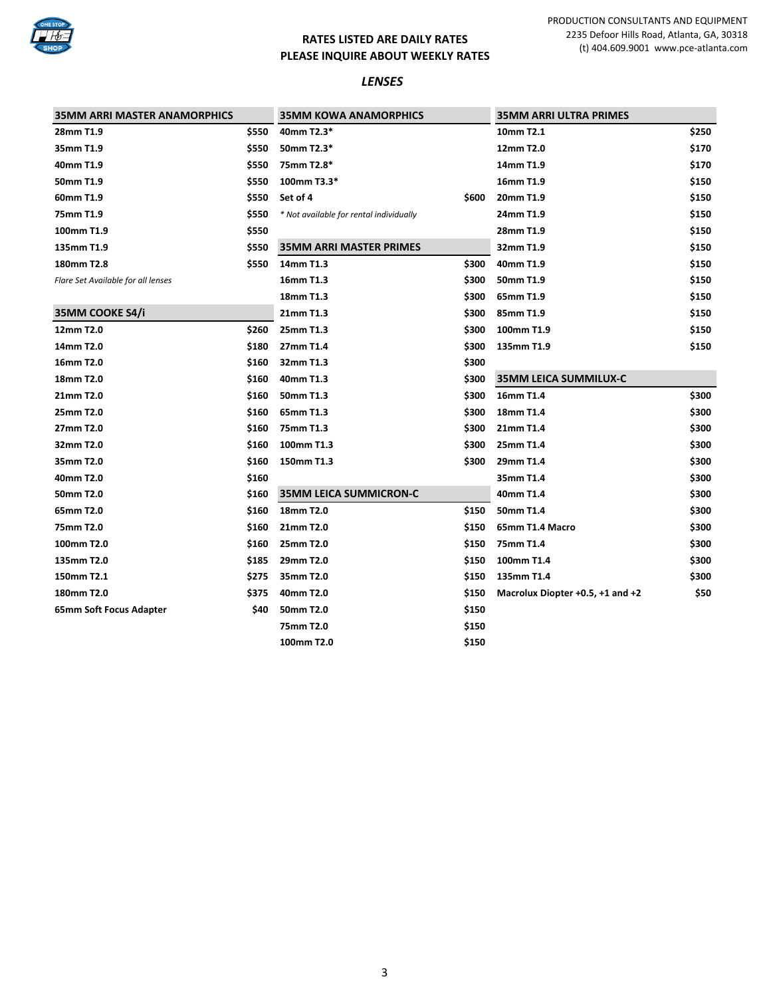

#### *LENSES*

| <b>35MM ARRI MASTER ANAMORPHICS</b> |       | <b>35MM KOWA ANAMORPHICS</b>            |       | <b>35MM ARRI ULTRA PRIMES</b>    |       |
|-------------------------------------|-------|-----------------------------------------|-------|----------------------------------|-------|
| 28mm T1.9                           | \$550 | 40mm T2.3*                              |       | 10mm T2.1                        | \$250 |
| 35mm T1.9                           | \$550 | 50mm T2.3*                              |       | 12mm T2.0                        | \$170 |
| 40mm T1.9                           | \$550 | 75mm T2.8*                              |       | 14mm T1.9                        | \$170 |
| 50mm T1.9                           | \$550 | 100mm T3.3*                             |       | 16mm T1.9                        | \$150 |
| 60mm T1.9                           | \$550 | Set of 4                                | \$600 | 20mm T1.9                        | \$150 |
| 75mm T1.9                           | \$550 | * Not available for rental individually |       | 24mm T1.9                        | \$150 |
| 100mm T1.9                          | \$550 |                                         |       | 28mm T1.9                        | \$150 |
| 135mm T1.9                          | \$550 | <b>35MM ARRI MASTER PRIMES</b>          |       | 32mm T1.9                        | \$150 |
| 180mm T2.8                          | \$550 | 14mm T1.3                               | \$300 | 40mm T1.9                        | \$150 |
| Flare Set Available for all lenses  |       | 16mm T1.3                               | \$300 | 50mm T1.9                        | \$150 |
|                                     |       | 18mm T1.3                               | \$300 | 65mm T1.9                        | \$150 |
| 35MM COOKE S4/i                     |       | 21mm T1.3                               | \$300 | 85mm T1.9                        | \$150 |
| 12mm T2.0                           | \$260 | 25mm T1.3                               | \$300 | 100mm T1.9                       | \$150 |
| 14mm T2.0                           | \$180 | 27mm T1.4                               | \$300 | 135mm T1.9                       | \$150 |
| 16mm T2.0                           | \$160 | 32mm T1.3                               | \$300 |                                  |       |
| 18mm T2.0                           | \$160 | 40mm T1.3                               | \$300 | <b>35MM LEICA SUMMILUX-C</b>     |       |
| 21mm T2.0                           | \$160 | 50mm T1.3                               | \$300 | 16mm T1.4                        | \$300 |
| 25mm T2.0                           | \$160 | 65mm T1.3                               | \$300 | 18mm T1.4                        | \$300 |
| 27mm T2.0                           | \$160 | 75mm T1.3                               | \$300 | 21mm T1.4                        | \$300 |
| 32mm T2.0                           | \$160 | 100mm T1.3                              | \$300 | 25mm T1.4                        | \$300 |
| 35mm T2.0                           | \$160 | 150mm T1.3                              | \$300 | 29mm T1.4                        | \$300 |
| 40mm T2.0                           | \$160 |                                         |       | 35mm T1.4                        | \$300 |
| 50mm T2.0                           | \$160 | <b>35MM LEICA SUMMICRON-C</b>           |       | 40mm T1.4                        | \$300 |
| 65mm T2.0                           | \$160 | 18mm T2.0                               | \$150 | 50mm T1.4                        | \$300 |
| 75mm T2.0                           | \$160 | 21mm T2.0                               | \$150 | 65mm T1.4 Macro                  | \$300 |
| 100mm T2.0                          | \$160 | 25mm T2.0                               | \$150 | 75mm T1.4                        | \$300 |
| 135mm T2.0                          | \$185 | 29mm T2.0                               | \$150 | 100mm T1.4                       | \$300 |
| 150mm T2.1                          | \$275 | 35mm T2.0                               | \$150 | 135mm T1.4                       | \$300 |
| 180mm T2.0                          | \$375 | 40mm T2.0                               | \$150 | Macrolux Diopter +0.5, +1 and +2 | \$50  |
| 65mm Soft Focus Adapter             | \$40  | 50mm T2.0                               | \$150 |                                  |       |
|                                     |       | 75mm T2.0                               | \$150 |                                  |       |
|                                     |       | 100mm T2.0                              | \$150 |                                  |       |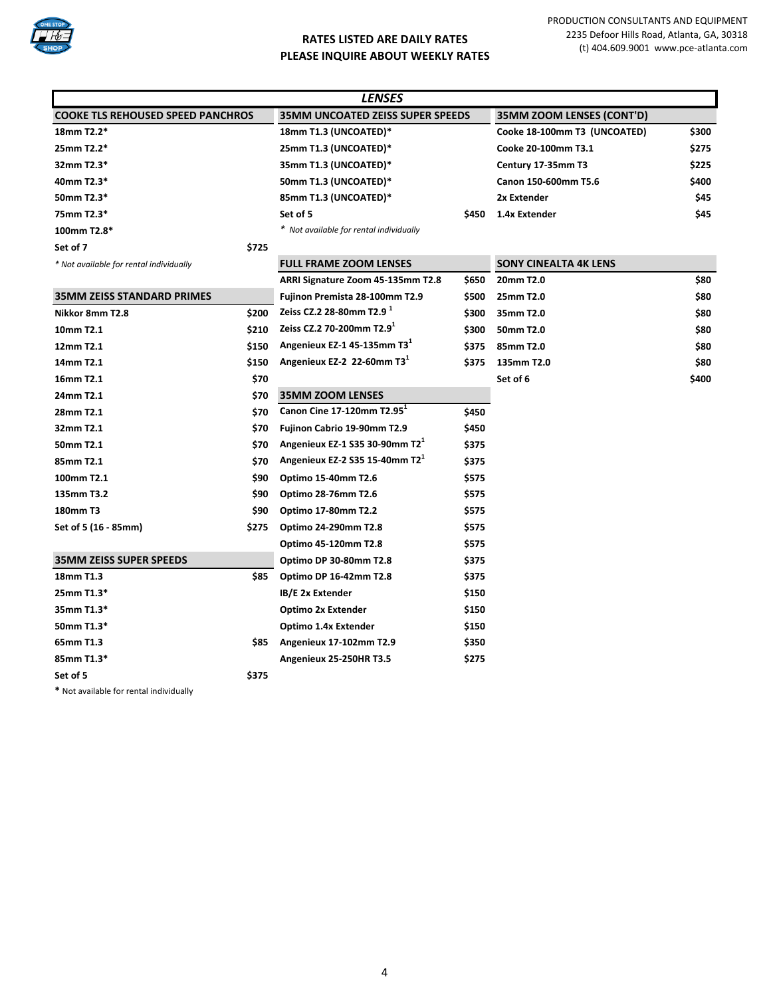

| <i><b>LENSES</b></i>                     |       |                                            |       |                              |       |  |
|------------------------------------------|-------|--------------------------------------------|-------|------------------------------|-------|--|
| <b>COOKE TLS REHOUSED SPEED PANCHROS</b> |       | <b>35MM UNCOATED ZEISS SUPER SPEEDS</b>    |       | 35MM ZOOM LENSES (CONT'D)    |       |  |
| 18mm T2.2*                               |       | 18mm T1.3 (UNCOATED)*                      |       | Cooke 18-100mm T3 (UNCOATED) | \$300 |  |
| 25mm T2.2*                               |       | 25mm T1.3 (UNCOATED)*                      |       | Cooke 20-100mm T3.1          | \$275 |  |
| 32mm T2.3*                               |       | 35mm T1.3 (UNCOATED)*                      |       | Century 17-35mm T3           | \$225 |  |
| 40mm T2.3*                               |       | 50mm T1.3 (UNCOATED)*                      |       | Canon 150-600mm T5.6         | \$400 |  |
| 50mm T2.3*                               |       | 85mm T1.3 (UNCOATED)*                      |       | 2x Extender                  | \$45  |  |
| 75mm T2.3*                               |       | Set of 5                                   | \$450 | 1.4x Extender                | \$45  |  |
| 100mm T2.8*                              |       | * Not available for rental individually    |       |                              |       |  |
| Set of 7                                 | \$725 |                                            |       |                              |       |  |
| * Not available for rental individually  |       | <b>FULL FRAME ZOOM LENSES</b>              |       | <b>SONY CINEALTA 4K LENS</b> |       |  |
|                                          |       | ARRI Signature Zoom 45-135mm T2.8          | \$650 | 20mm T2.0                    | \$80  |  |
| <b>35MM ZEISS STANDARD PRIMES</b>        |       | Fujinon Premista 28-100mm T2.9             | \$500 | 25mm T2.0                    | \$80  |  |
| Nikkor 8mm T2.8                          | \$200 | Zeiss CZ.2 28-80mm T2.9 $^1$               | \$300 | 35mm T2.0                    | \$80  |  |
| 10mm T2.1                                | \$210 | Zeiss CZ.2 70-200mm T2.9 <sup>1</sup>      | \$300 | 50mm T2.0                    | \$80  |  |
| 12mm T2.1                                | \$150 | Angenieux EZ-1 45-135mm T3 <sup>1</sup>    | \$375 | 85mm T2.0                    | \$80  |  |
| 14mm T2.1                                | \$150 | Angenieux EZ-2 22-60mm T3 <sup>1</sup>     | \$375 | 135mm T2.0                   | \$80  |  |
| 16mm T2.1                                | \$70  |                                            |       | Set of 6                     | \$400 |  |
| 24mm T2.1                                | \$70  | <b>35MM ZOOM LENSES</b>                    |       |                              |       |  |
| 28mm T2.1                                | \$70  | Canon Cine 17-120mm T2.95 <sup>1</sup>     | \$450 |                              |       |  |
| 32mm T2.1                                | \$70  | Fujinon Cabrio 19-90mm T2.9                | \$450 |                              |       |  |
| 50mm T2.1                                | \$70  | Angenieux EZ-1 S35 30-90mm T2 <sup>1</sup> | \$375 |                              |       |  |
| 85mm T2.1                                | \$70  | Angenieux EZ-2 S35 15-40mm T2 <sup>1</sup> | \$375 |                              |       |  |
| 100mm T2.1                               | \$90  | Optimo 15-40mm T2.6                        | \$575 |                              |       |  |
| 135mm T3.2                               | \$90  | Optimo 28-76mm T2.6                        | \$575 |                              |       |  |
| 180mm T3                                 | \$90  | Optimo 17-80mm T2.2                        | \$575 |                              |       |  |
| Set of 5 (16 - 85mm)                     | \$275 | Optimo 24-290mm T2.8                       | \$575 |                              |       |  |
|                                          |       | Optimo 45-120mm T2.8                       | \$575 |                              |       |  |
| <b>35MM ZEISS SUPER SPEEDS</b>           |       | Optimo DP 30-80mm T2.8                     | \$375 |                              |       |  |
| 18mm T1.3                                | \$85  | Optimo DP 16-42mm T2.8                     | \$375 |                              |       |  |
| 25mm T1.3*                               |       | IB/E 2x Extender                           | \$150 |                              |       |  |
| 35mm T1.3*                               |       | Optimo 2x Extender                         | \$150 |                              |       |  |
| 50mm T1.3*                               |       | Optimo 1.4x Extender                       | \$150 |                              |       |  |
| 65mm T1.3                                | \$85  | Angenieux 17-102mm T2.9                    | \$350 |                              |       |  |
| 85mm T1.3*                               |       | Angenieux 25-250HR T3.5                    | \$275 |                              |       |  |
| Set of 5                                 | \$375 |                                            |       |                              |       |  |
|                                          |       |                                            |       |                              |       |  |

**\*** Not available for rental individually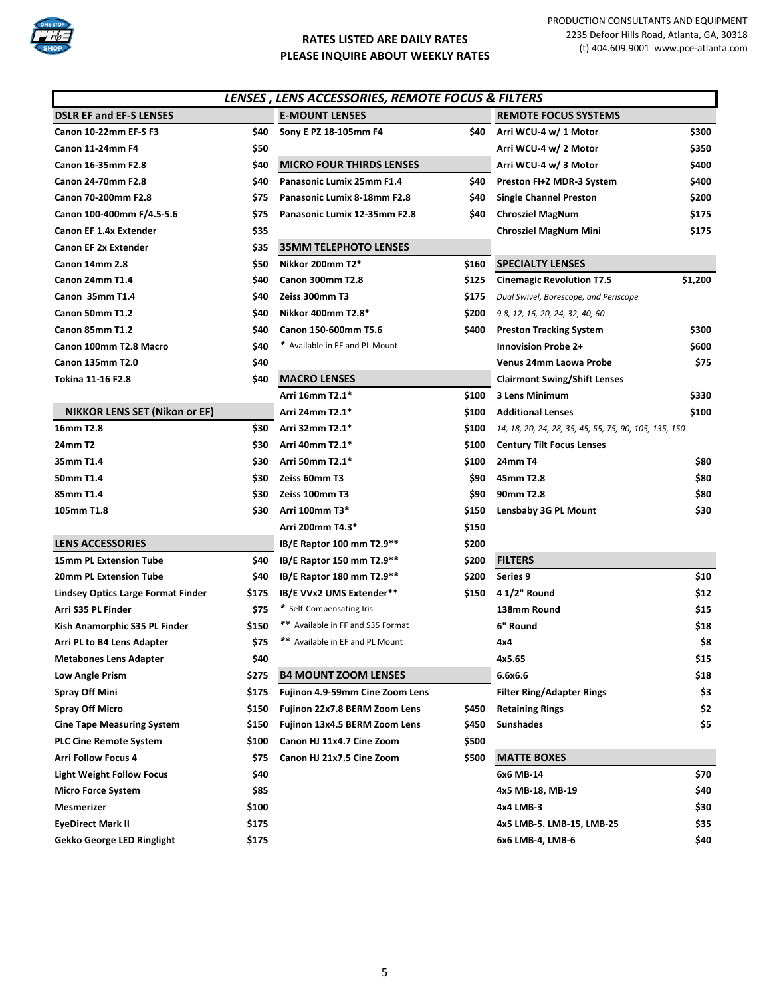

|                                      |       | LENSES, LENS ACCESSORIES, REMOTE FOCUS & FILTERS |       |                                                       |         |
|--------------------------------------|-------|--------------------------------------------------|-------|-------------------------------------------------------|---------|
| <b>DSLR EF and EF-S LENSES</b>       |       | <b>E-MOUNT LENSES</b>                            |       | <b>REMOTE FOCUS SYSTEMS</b>                           |         |
| Canon 10-22mm EF-S F3                | \$40  | Sony E PZ 18-105mm F4                            | \$40  | Arri WCU-4 w/ 1 Motor                                 | \$300   |
| <b>Canon 11-24mm F4</b>              | \$50  |                                                  |       | Arri WCU-4 w/ 2 Motor                                 | \$350   |
| Canon 16-35mm F2.8                   | \$40  | <b>MICRO FOUR THIRDS LENSES</b>                  |       | Arri WCU-4 w/ 3 Motor                                 | \$400   |
| Canon 24-70mm F2.8                   | \$40  | Panasonic Lumix 25mm F1.4                        | \$40  | Preston FI+Z MDR-3 System                             | \$400   |
| Canon 70-200mm F2.8                  | \$75  | Panasonic Lumix 8-18mm F2.8                      | S40   | <b>Single Channel Preston</b>                         | \$200   |
| Canon 100-400mm F/4.5-5.6            | \$75  | Panasonic Lumix 12-35mm F2.8                     | \$40  | <b>Chrosziel MagNum</b>                               | \$175   |
| <b>Canon EF 1.4x Extender</b>        | \$35  |                                                  |       | <b>Chrosziel MagNum Mini</b>                          | \$175   |
| <b>Canon EF 2x Extender</b>          | \$35  | <b>35MM TELEPHOTO LENSES</b>                     |       |                                                       |         |
| Canon 14mm 2.8                       | \$50  | Nikkor 200mm T2*                                 | \$160 | <b>SPECIALTY LENSES</b>                               |         |
| Canon 24mm T1.4                      | \$40  | <b>Canon 300mm T2.8</b>                          | \$125 | <b>Cinemagic Revolution T7.5</b>                      | \$1,200 |
| Canon 35mm T1.4                      | \$40  | Zeiss 300mm T3                                   | \$175 | Dual Swivel, Borescope, and Periscope                 |         |
| Canon 50mm T1.2                      | \$40  | Nikkor 400mm T2.8*                               | \$200 | 9.8, 12, 16, 20, 24, 32, 40, 60                       |         |
| Canon 85mm T1.2                      | \$40  | Canon 150-600mm T5.6                             | \$400 | <b>Preston Tracking System</b>                        | \$300   |
| Canon 100mm T2.8 Macro               | \$40  | * Available in EF and PL Mount                   |       | <b>Innovision Probe 2+</b>                            | \$600   |
| Canon 135mm T2.0                     | \$40  |                                                  |       | Venus 24mm Laowa Probe                                | \$75    |
| Tokina 11-16 F2.8                    | \$40  | <b>MACRO LENSES</b>                              |       | <b>Clairmont Swing/Shift Lenses</b>                   |         |
|                                      |       | Arri 16mm T2.1*                                  | \$100 | 3 Lens Minimum                                        | \$330   |
| <b>NIKKOR LENS SET (Nikon or EF)</b> |       | Arri 24mm T2.1*                                  | \$100 | <b>Additional Lenses</b>                              | \$100   |
| 16mm T2.8                            | \$30  | Arri 32mm T2.1*                                  | \$100 | 14, 18, 20, 24, 28, 35, 45, 55, 75, 90, 105, 135, 150 |         |
| 24mm T2                              | \$30  | Arri 40mm T2.1*                                  | \$100 | <b>Century Tilt Focus Lenses</b>                      |         |
| 35mm T1.4                            | \$30  | Arri 50mm T2.1*                                  | \$100 | 24mm T4                                               | \$80    |
| 50mm T1.4                            | \$30  | Zeiss 60mm T3                                    | \$90  | 45mm T2.8                                             | \$80    |
| 85mm T1.4                            | \$30  | Zeiss 100mm T3                                   | \$90  | 90mm T2.8                                             | \$80    |
| 105mm T1.8                           | \$30  | Arri 100mm T3*                                   | \$150 | <b>Lensbaby 3G PL Mount</b>                           | \$30    |
|                                      |       | Arri 200mm T4.3*                                 | \$150 |                                                       |         |
| <b>LENS ACCESSORIES</b>              |       | IB/E Raptor 100 mm T2.9**                        | \$200 |                                                       |         |
| <b>15mm PL Extension Tube</b>        | \$40  | IB/E Raptor 150 mm T2.9**                        | \$200 | <b>FILTERS</b>                                        |         |
| <b>20mm PL Extension Tube</b>        | \$40  | IB/E Raptor 180 mm T2.9**                        | \$200 | Series 9                                              | \$10    |
| Lindsey Optics Large Format Finder   | \$175 | IB/E VVx2 UMS Extender**                         | \$150 | 4 1/2" Round                                          | \$12    |
| Arri S35 PL Finder                   | \$75  | * Self-Compensating Iris                         |       | 138mm Round                                           | \$15    |
| Kish Anamorphic S35 PL Finder        | \$150 | ** Available in FF and S35 Format                |       | 6" Round                                              | \$18    |
| Arri PL to B4 Lens Adapter           | \$75  | ** Available in EF and PL Mount                  |       | 4x4                                                   | \$8     |
| Metabones Lens Adapter               | \$40  |                                                  |       | 4x5.65                                                | \$15    |
| Low Angle Prism                      | \$275 | <b>B4 MOUNT ZOOM LENSES</b>                      |       | 6.6x6.6                                               | \$18    |
| <b>Spray Off Mini</b>                | \$175 | Fujinon 4.9-59mm Cine Zoom Lens                  |       | <b>Filter Ring/Adapter Rings</b>                      | \$3     |
| <b>Spray Off Micro</b>               | \$150 | Fujinon 22x7.8 BERM Zoom Lens                    | \$450 | <b>Retaining Rings</b>                                | \$2     |
| <b>Cine Tape Measuring System</b>    | \$150 | Fujinon 13x4.5 BERM Zoom Lens                    | \$450 | <b>Sunshades</b>                                      | \$5     |
| <b>PLC Cine Remote System</b>        | \$100 | Canon HJ 11x4.7 Cine Zoom                        | \$500 |                                                       |         |
| <b>Arri Follow Focus 4</b>           | \$75  | Canon HJ 21x7.5 Cine Zoom                        | \$500 | <b>MATTE BOXES</b>                                    |         |
| <b>Light Weight Follow Focus</b>     | \$40  |                                                  |       | 6x6 MB-14                                             | \$70    |
| Micro Force System                   | \$85  |                                                  |       | 4x5 MB-18, MB-19                                      | \$40    |
| <b>Mesmerizer</b>                    | \$100 |                                                  |       | 4x4 LMB-3                                             | \$30    |
| EyeDirect Mark II                    | \$175 |                                                  |       | 4x5 LMB-5. LMB-15, LMB-25                             | \$35    |
| Gekko George LED Ringlight           | \$175 |                                                  |       | 6x6 LMB-4, LMB-6                                      | \$40    |
|                                      |       |                                                  |       |                                                       |         |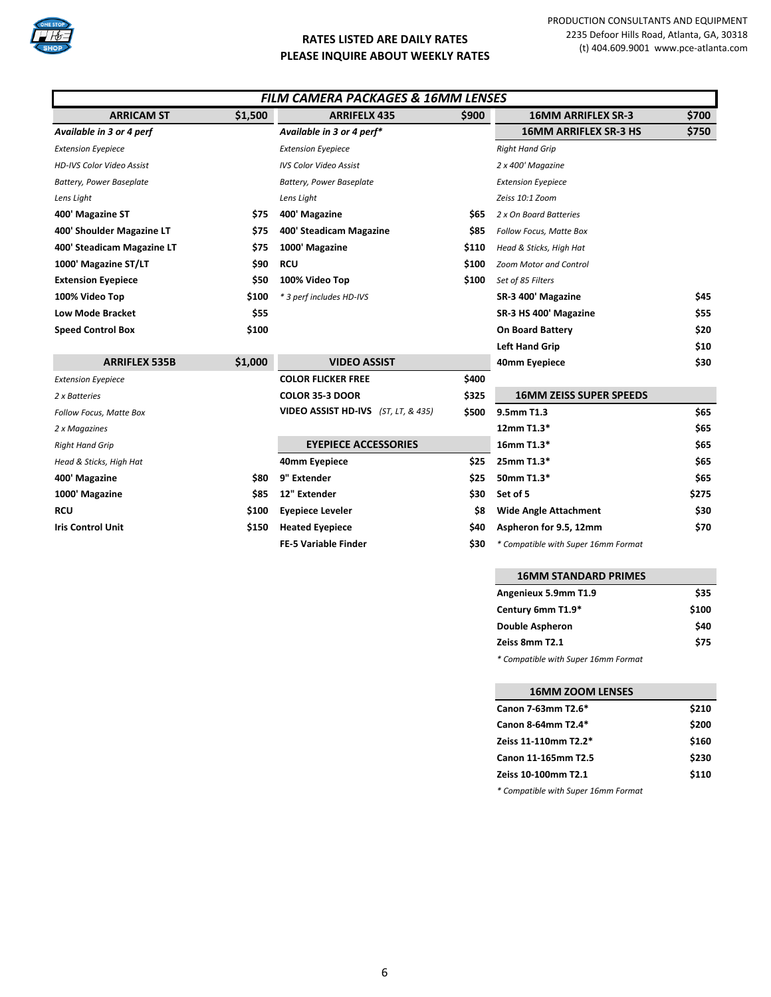

| <b>FILM CAMERA PACKAGES &amp; 16MM LENSES</b> |         |                                     |       |                                     |       |
|-----------------------------------------------|---------|-------------------------------------|-------|-------------------------------------|-------|
| <b>ARRICAM ST</b>                             | \$1,500 | <b>ARRIFELX 435</b>                 | \$900 | <b>16MM ARRIFLEX SR-3</b>           | \$700 |
| Available in 3 or 4 perf                      |         | Available in 3 or 4 perf*           |       | <b>16MM ARRIFLEX SR-3 HS</b>        | \$750 |
| <b>Extension Eyepiece</b>                     |         | <b>Extension Eyepiece</b>           |       | <b>Right Hand Grip</b>              |       |
| <b>HD-IVS Color Video Assist</b>              |         | <b>IVS Color Video Assist</b>       |       | 2 x 400' Magazine                   |       |
| <b>Battery, Power Baseplate</b>               |         | <b>Battery, Power Baseplate</b>     |       | <b>Extension Eyepiece</b>           |       |
| Lens Light                                    |         | Lens Light                          |       | Zeiss 10:1 Zoom                     |       |
| 400' Magazine ST                              | \$75    | 400' Magazine                       | \$65  | 2 x On Board Batteries              |       |
| 400' Shoulder Magazine LT                     | \$75    | 400' Steadicam Magazine             | \$85  | Follow Focus, Matte Box             |       |
| 400' Steadicam Magazine LT                    | \$75    | 1000' Magazine                      | \$110 | Head & Sticks, High Hat             |       |
| 1000' Magazine ST/LT                          | \$90    | <b>RCU</b>                          | \$100 | <b>Zoom Motor and Control</b>       |       |
| <b>Extension Eyepiece</b>                     | \$50    | 100% Video Top                      | \$100 | Set of 85 Filters                   |       |
| 100% Video Top                                | \$100   | * 3 perf includes HD-IVS            |       | SR-3 400' Magazine                  | \$45  |
| <b>Low Mode Bracket</b>                       | \$55    |                                     |       | SR-3 HS 400' Magazine               | \$55  |
| <b>Speed Control Box</b>                      | \$100   |                                     |       | <b>On Board Battery</b>             | \$20  |
|                                               |         |                                     |       | <b>Left Hand Grip</b>               | \$10  |
| <b>ARRIFLEX 535B</b>                          | \$1,000 | <b>VIDEO ASSIST</b>                 |       | 40mm Eyepiece                       | \$30  |
| <b>Extension Eyepiece</b>                     |         | <b>COLOR FLICKER FREE</b>           | \$400 |                                     |       |
| 2 x Batteries                                 |         | <b>COLOR 35-3 DOOR</b>              | \$325 | <b>16MM ZEISS SUPER SPEEDS</b>      |       |
| Follow Focus, Matte Box                       |         | VIDEO ASSIST HD-IVS (ST, LT, & 435) | \$500 | 9.5mm T1.3                          | \$65  |
| 2 x Magazines                                 |         |                                     |       | 12mm T1.3*                          | \$65  |
| <b>Right Hand Grip</b>                        |         | <b>EYEPIECE ACCESSORIES</b>         |       | 16mm T1.3*                          | \$65  |
| Head & Sticks, High Hat                       |         | 40mm Eyepiece                       | \$25  | 25mm T1.3*                          | \$65  |
| 400' Magazine                                 | \$80    | 9" Extender                         | \$25  | 50mm T1.3*                          | \$65  |
| 1000' Magazine                                | \$85    | 12" Extender                        | \$30  | Set of 5                            | \$275 |
| <b>RCU</b>                                    | \$100   | <b>Eyepiece Leveler</b>             | \$8   | <b>Wide Angle Attachment</b>        | \$30  |
| <b>Iris Control Unit</b>                      | \$150   | <b>Heated Eyepiece</b>              | \$40  | Aspheron for 9.5, 12mm              | \$70  |
|                                               |         | <b>FE-5 Variable Finder</b>         | \$30  | * Compatible with Super 16mm Format |       |

| <b>16MM STANDARD PRIMES</b> |       |
|-----------------------------|-------|
| Angenieux 5.9mm T1.9        | \$35  |
| Century 6mm T1.9*           | \$100 |
| <b>Double Aspheron</b>      | \$40  |
| Zeiss 8mm T2.1              | \$75  |
|                             |       |

*\* Compatible with Super 16mm Format*

| <b>16MM ZOOM LENSES</b> |       |
|-------------------------|-------|
| Canon 7-63mm T2.6*      | \$210 |
| Canon 8-64mm T2.4*      | \$200 |
| Zeiss 11-110mm T2.2*    | \$160 |
| Canon 11-165mm T2.5     | \$230 |
| Zeiss 10-100mm T2.1     | \$110 |
|                         |       |

*\* Compatible with Super 16mm Format*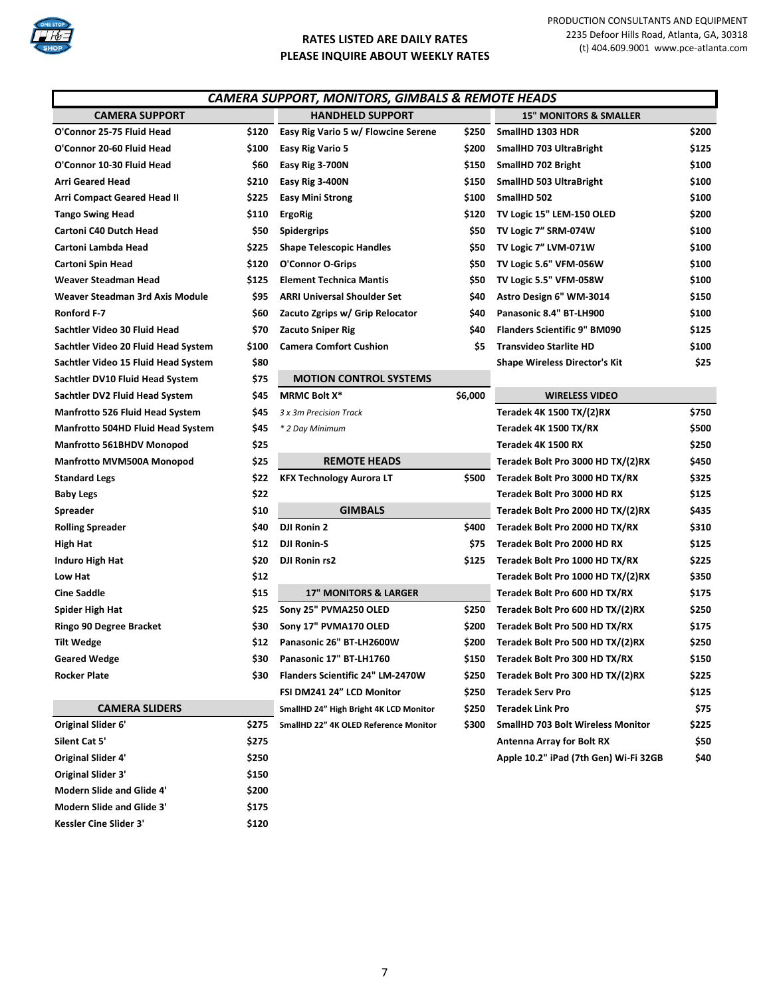

| <b>CAMERA SUPPORT, MONITORS, GIMBALS &amp; REMOTE HEADS</b> |       |                                         |         |                                      |       |  |
|-------------------------------------------------------------|-------|-----------------------------------------|---------|--------------------------------------|-------|--|
| <b>CAMERA SUPPORT</b>                                       |       | <b>HANDHELD SUPPORT</b>                 |         | <b>15" MONITORS &amp; SMALLER</b>    |       |  |
| O'Connor 25-75 Fluid Head                                   | \$120 | Easy Rig Vario 5 w/ Flowcine Serene     | \$250   | SmallHD 1303 HDR                     | \$200 |  |
| O'Connor 20-60 Fluid Head                                   | \$100 | Easy Rig Vario 5                        | \$200   | SmallHD 703 UltraBright              | \$125 |  |
| O'Connor 10-30 Fluid Head                                   | \$60  | Easy Rig 3-700N                         | \$150   | SmallHD 702 Bright                   | \$100 |  |
| <b>Arri Geared Head</b>                                     | \$210 | Easy Rig 3-400N                         | \$150   | SmallHD 503 UltraBright              | \$100 |  |
| <b>Arri Compact Geared Head II</b>                          | \$225 | <b>Easy Mini Strong</b>                 | \$100   | SmallHD 502                          | \$100 |  |
| <b>Tango Swing Head</b>                                     | \$110 | <b>ErgoRig</b>                          | \$120   | TV Logic 15" LEM-150 OLED            | \$200 |  |
| Cartoni C40 Dutch Head                                      | \$50  | <b>Spidergrips</b>                      | \$50    | TV Logic 7" SRM-074W                 | \$100 |  |
| Cartoni Lambda Head                                         | \$225 | <b>Shape Telescopic Handles</b>         | \$50    | TV Logic 7" LVM-071W                 | \$100 |  |
| <b>Cartoni Spin Head</b>                                    | \$120 | O'Connor O-Grips                        | \$50    | TV Logic 5.6" VFM-056W               | \$100 |  |
| Weaver Steadman Head                                        | \$125 | <b>Element Technica Mantis</b>          | \$50    | TV Logic 5.5" VFM-058W               | \$100 |  |
| Weaver Steadman 3rd Axis Module                             | \$95  | <b>ARRI Universal Shoulder Set</b>      | \$40    | Astro Design 6" WM-3014              | \$150 |  |
| Ronford F-7                                                 | \$60  | Zacuto Zgrips w/ Grip Relocator         | \$40    | Panasonic 8.4" BT-LH900              | \$100 |  |
| Sachtler Video 30 Fluid Head                                | \$70  | <b>Zacuto Sniper Rig</b>                | \$40    | <b>Flanders Scientific 9" BM090</b>  | \$125 |  |
| Sachtler Video 20 Fluid Head System                         | \$100 | <b>Camera Comfort Cushion</b>           | \$5     | <b>Transvideo Starlite HD</b>        | \$100 |  |
| Sachtler Video 15 Fluid Head System                         | \$80  |                                         |         | <b>Shape Wireless Director's Kit</b> | \$25  |  |
| Sachtler DV10 Fluid Head System                             | \$75  | <b>MOTION CONTROL SYSTEMS</b>           |         |                                      |       |  |
| Sachtler DV2 Fluid Head System                              | \$45  | <b>MRMC Bolt X*</b>                     | \$6,000 | <b>WIRELESS VIDEO</b>                |       |  |
| <b>Manfrotto 526 Fluid Head System</b>                      | \$45  | 3 x 3m Precision Track                  |         | Teradek 4K 1500 TX/(2)RX             | \$750 |  |
| <b>Manfrotto 504HD Fluid Head System</b>                    | \$45  | * 2 Day Minimum                         |         | Teradek 4K 1500 TX/RX                | \$500 |  |
| Manfrotto 561BHDV Monopod                                   | \$25  |                                         |         | Teradek 4K 1500 RX                   | \$250 |  |
| Manfrotto MVM500A Monopod                                   | \$25  | <b>REMOTE HEADS</b>                     |         | Teradek Bolt Pro 3000 HD TX/(2)RX    | \$450 |  |
| <b>Standard Legs</b>                                        | \$22  | <b>KFX Technology Aurora LT</b>         | \$500   | Teradek Bolt Pro 3000 HD TX/RX       | \$325 |  |
| <b>Baby Legs</b>                                            | \$22  |                                         |         | Teradek Bolt Pro 3000 HD RX          | \$125 |  |
| Spreader                                                    | \$10  | <b>GIMBALS</b>                          |         | Teradek Bolt Pro 2000 HD TX/(2)RX    | \$435 |  |
| <b>Rolling Spreader</b>                                     | \$40  | <b>DJI Ronin 2</b>                      | \$400   | Teradek Bolt Pro 2000 HD TX/RX       | \$310 |  |
| High Hat                                                    | \$12  | <b>DJI Ronin-S</b>                      | \$75    | Teradek Bolt Pro 2000 HD RX          | \$125 |  |
| <b>Induro High Hat</b>                                      | \$20  | <b>DJI Ronin rs2</b>                    | \$125   | Teradek Bolt Pro 1000 HD TX/RX       | \$225 |  |
| Low Hat                                                     | \$12  |                                         |         | Teradek Bolt Pro 1000 HD TX/(2)RX    | \$350 |  |
| <b>Cine Saddle</b>                                          | \$15  | <b>17" MONITORS &amp; LARGER</b>        |         | Teradek Bolt Pro 600 HD TX/RX        | \$175 |  |
| <b>Spider High Hat</b>                                      | \$25  | Sony 25" PVMA250 OLED                   | \$250   | Teradek Bolt Pro 600 HD TX/(2)RX     | \$250 |  |
| Ringo 90 Degree Bracket                                     | \$30  | Sony 17" PVMA170 OLED                   | \$200   | Teradek Bolt Pro 500 HD TX/RX        | \$175 |  |
| <b>Tilt Wedge</b>                                           | \$12  | Panasonic 26" BT-LH2600W                | \$200   | Teradek Bolt Pro 500 HD TX/(2)RX     | \$250 |  |
| <b>Geared Wedge</b>                                         | \$30  | Panasonic 17" BT-LH1760                 | \$150   | Teradek Bolt Pro 300 HD TX/RX        | \$150 |  |
| <b>Rocker Plate</b>                                         | \$30  | <b>Flanders Scientific 24" LM-2470W</b> | \$250   | Teradek Bolt Pro 300 HD TX/(2)RX     | \$225 |  |
|                                                             |       | FSI DM241 24" LCD Monitor               | \$250   | <b>Teradek Serv Pro</b>              | \$125 |  |
| <b>CAMERA SLIDERS</b>                                       |       | SmallHD 24" High Bright 4K LCD Monitor  | \$250   | <b>Teradek Link Pro</b>              | \$75  |  |

| CARLIVA SEIDERS                  |       | <b>Sultain 10 24 Tugli Dright 4K LCD MONITOR</b> | JLJU  | <b>ICIQUEN LIIIN FIV</b>                 | ر ر.  |
|----------------------------------|-------|--------------------------------------------------|-------|------------------------------------------|-------|
| <b>Original Slider 6'</b>        | \$275 | SmallHD 22" 4K OLED Reference Monitor            | \$300 | <b>SmallHD 703 Bolt Wireless Monitor</b> | \$225 |
| Silent Cat 5'                    | \$275 |                                                  |       | <b>Antenna Array for Bolt RX</b>         | \$50  |
| <b>Original Slider 4'</b>        | \$250 |                                                  |       | Apple 10.2" iPad (7th Gen) Wi-Fi 32GB    | \$40  |
| <b>Original Slider 3'</b>        | \$150 |                                                  |       |                                          |       |
| Modern Slide and Glide 4'        | \$200 |                                                  |       |                                          |       |
| <b>Modern Slide and Glide 3'</b> | \$175 |                                                  |       |                                          |       |
| Kessler Cine Slider 3'           | \$120 |                                                  |       |                                          |       |